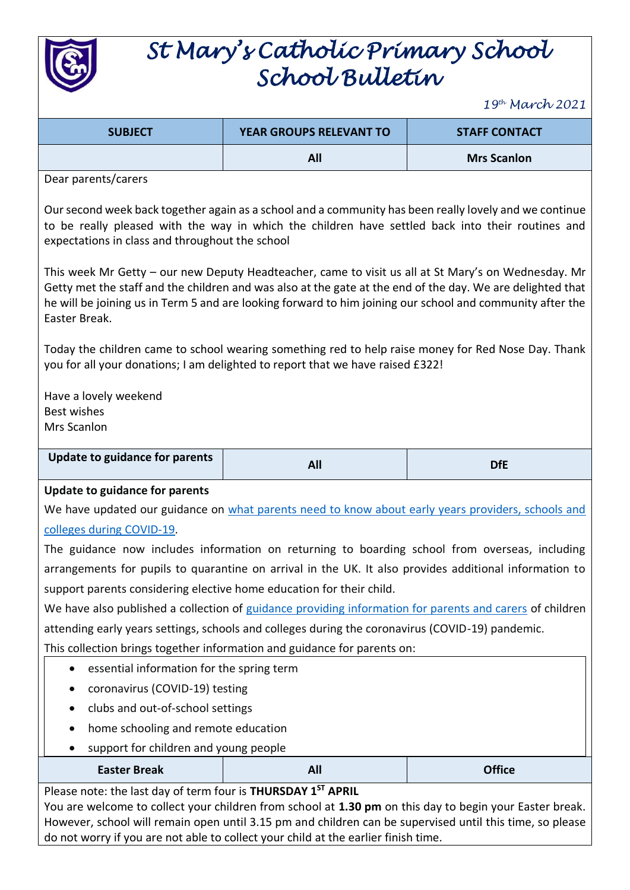

## *St Mary's Catholic Primary School School Bulletin*

*19th March 2021*

| <b>SUBJECT</b> | <b>YEAR GROUPS RELEVANT TO</b> | <b>STAFF CONTACT</b> |
|----------------|--------------------------------|----------------------|
|                | All                            | <b>Mrs Scanlon</b>   |

Dear parents/carers

Our second week back together again as a school and a community has been really lovely and we continue to be really pleased with the way in which the children have settled back into their routines and expectations in class and throughout the school

This week Mr Getty – our new Deputy Headteacher, came to visit us all at St Mary's on Wednesday. Mr Getty met the staff and the children and was also at the gate at the end of the day. We are delighted that he will be joining us in Term 5 and are looking forward to him joining our school and community after the Easter Break.

Today the children came to school wearing something red to help raise money for Red Nose Day. Thank you for all your donations; I am delighted to report that we have raised £322!

Have a lovely weekend Best wishes Mrs Scanlon

| Update to guidance for parents |  |
|--------------------------------|--|
|                                |  |

## **Update to guidance for parents**

We have updated our guidance on what parents need to know about early years providers, schools and [colleges during COVID-19.](https://www.gov.uk/government/publications/what-parents-and-carers-need-to-know-about-early-years-providers-schools-and-colleges-during-the-coronavirus-covid-19-outbreak/what-parents-need-to-know-about-early-years-providers-schools-and-colleges-during-covid-19?utm_source=17%20March%202021%20C19&utm_medium=Daily%20Email%20C19&utm_campaign=DfE%20C19)

The guidance now includes information on returning to boarding school from overseas, including arrangements for pupils to quarantine on arrival in the UK. It also provides additional information to support parents considering elective home education for their child.

We have also published a collection of [guidance providing information for parents and carers](https://www.gov.uk/government/collections/information-for-parents-and-carers-coronavirus-covid-19?utm_source=17%20March%202021%20C19&utm_medium=Daily%20Email%20C19&utm_campaign=DfE%20C19) of children attending early years settings, schools and colleges during the coronavirus (COVID-19) pandemic.

This collection brings together information and guidance for parents on:

- essential information for the spring term
- coronavirus (COVID-19) testing
- clubs and out-of-school settings
- home schooling and remote education
- support for children and young people

## **Easter Break All Office**

## Please note: the last day of term four is **THURSDAY 1ST APRIL**

You are welcome to collect your children from school at **1.30 pm** on this day to begin your Easter break. However, school will remain open until 3.15 pm and children can be supervised until this time, so please do not worry if you are not able to collect your child at the earlier finish time.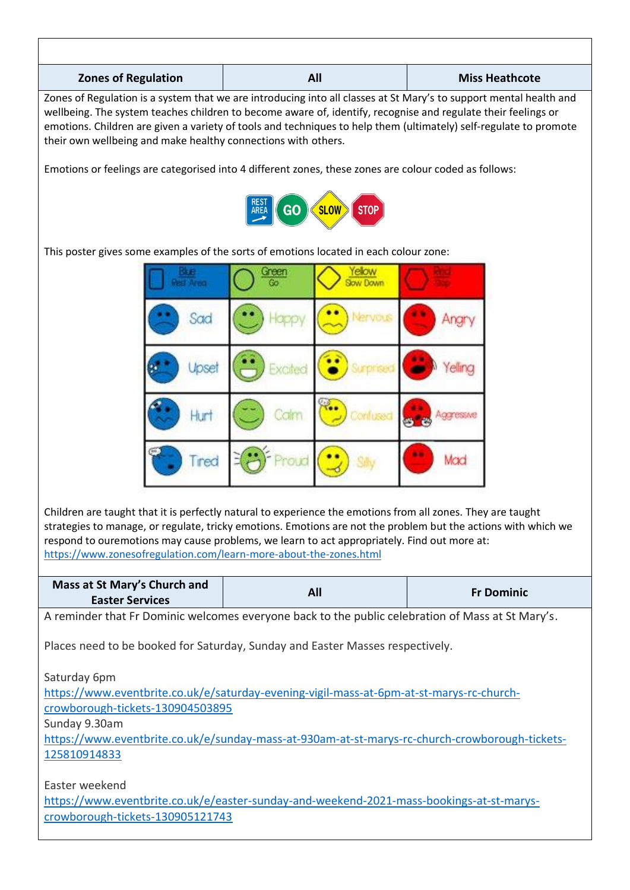| <b>Zones of Regulation</b>                                                                                                                                                                                                                                                                                                                                                                                                | All       |                            | <b>Miss Heathcote</b> |                   |
|---------------------------------------------------------------------------------------------------------------------------------------------------------------------------------------------------------------------------------------------------------------------------------------------------------------------------------------------------------------------------------------------------------------------------|-----------|----------------------------|-----------------------|-------------------|
| Zones of Regulation is a system that we are introducing into all classes at St Mary's to support mental health and<br>wellbeing. The system teaches children to become aware of, identify, recognise and regulate their feelings or<br>emotions. Children are given a variety of tools and techniques to help them (ultimately) self-regulate to promote<br>their own wellbeing and make healthy connections with others. |           |                            |                       |                   |
| Emotions or feelings are categorised into 4 different zones, these zones are colour coded as follows:                                                                                                                                                                                                                                                                                                                     |           |                            |                       |                   |
|                                                                                                                                                                                                                                                                                                                                                                                                                           | <b>GO</b> | <b>SLOW</b><br><b>STOP</b> |                       |                   |
| This poster gives some examples of the sorts of emotions located in each colour zone:                                                                                                                                                                                                                                                                                                                                     |           |                            |                       |                   |
|                                                                                                                                                                                                                                                                                                                                                                                                                           |           | law Dawn                   |                       |                   |
| Sad                                                                                                                                                                                                                                                                                                                                                                                                                       |           |                            |                       |                   |
|                                                                                                                                                                                                                                                                                                                                                                                                                           | -xcitec   |                            |                       |                   |
|                                                                                                                                                                                                                                                                                                                                                                                                                           |           |                            | <b>ACCIDENTS</b>      |                   |
| Tred                                                                                                                                                                                                                                                                                                                                                                                                                      |           |                            | Mad                   |                   |
| Children are taught that it is perfectly natural to experience the emotions from all zones. They are taught<br>strategies to manage, or regulate, tricky emotions. Emotions are not the problem but the actions with which we<br>respond to ouremotions may cause problems, we learn to act appropriately. Find out more at:<br>https://www.zonesofregulation.com/learn-more-about-the-zones.html                         |           |                            |                       |                   |
| Mass at St Mary's Church and<br><b>Easter Services</b>                                                                                                                                                                                                                                                                                                                                                                    | All       |                            |                       | <b>Fr Dominic</b> |
| A reminder that Fr Dominic welcomes everyone back to the public celebration of Mass at St Mary's.                                                                                                                                                                                                                                                                                                                         |           |                            |                       |                   |
| Places need to be booked for Saturday, Sunday and Easter Masses respectively.<br>Saturday 6pm<br>https://www.eventbrite.co.uk/e/saturday-evening-vigil-mass-at-6pm-at-st-marys-rc-church-                                                                                                                                                                                                                                 |           |                            |                       |                   |
| crowborough-tickets-130904503895<br>Sunday 9.30am<br>https://www.eventbrite.co.uk/e/sunday-mass-at-930am-at-st-marys-rc-church-crowborough-tickets-                                                                                                                                                                                                                                                                       |           |                            |                       |                   |

Easter weekend

[https://www.eventbrite.co.uk/e/easter-sunday-and-weekend-2021-mass-bookings-at-st-marys](https://www.eventbrite.co.uk/e/easter-sunday-and-weekend-2021-mass-bookings-at-st-marys-crowborough-tickets-130905121743)[crowborough-tickets-130905121743](https://www.eventbrite.co.uk/e/easter-sunday-and-weekend-2021-mass-bookings-at-st-marys-crowborough-tickets-130905121743)